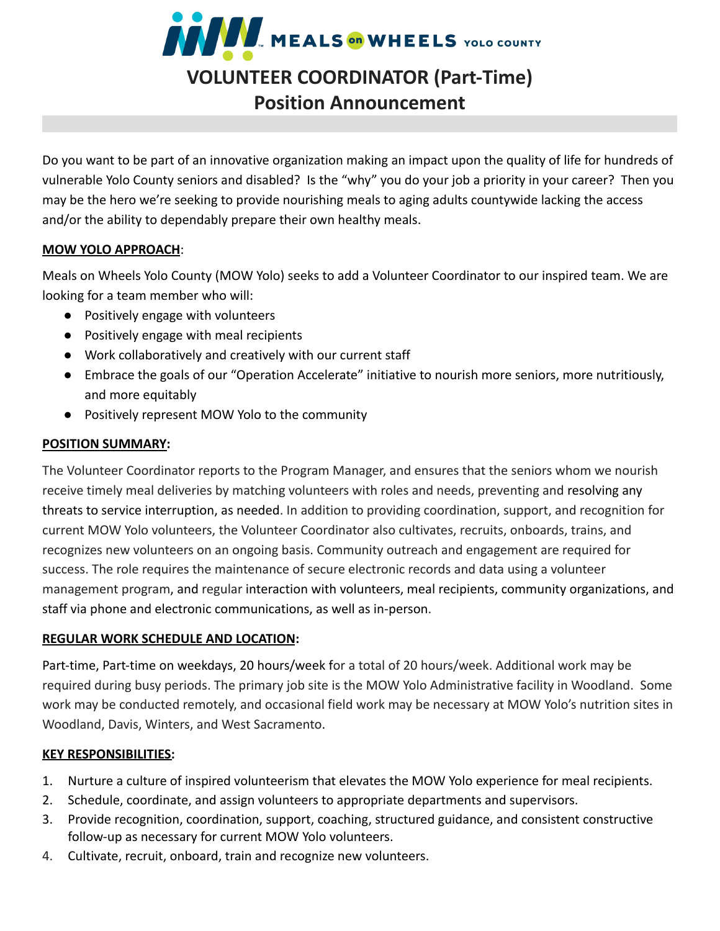

Do you want to be part of an innovative organization making an impact upon the quality of life for hundreds of vulnerable Yolo County seniors and disabled? Is the "why" you do your job a priority in your career? Then you may be the hero we're seeking to provide nourishing meals to aging adults countywide lacking the access and/or the ability to dependably prepare their own healthy meals.

#### **MOW YOLO APPROACH**:

Meals on Wheels Yolo County (MOW Yolo) seeks to add a Volunteer Coordinator to our inspired team. We are looking for a team member who will:

- Positively engage with volunteers
- Positively engage with meal recipients
- Work collaboratively and creatively with our current staff
- Embrace the goals of our "Operation Accelerate" initiative to nourish more seniors, more nutritiously, and more equitably
- Positively represent MOW Yolo to the community

#### **POSITION SUMMARY:**

The Volunteer Coordinator reports to the Program Manager, and ensures that the seniors whom we nourish receive timely meal deliveries by matching volunteers with roles and needs, preventing and resolving any threats to service interruption, as needed. In addition to providing coordination, support, and recognition for current MOW Yolo volunteers, the Volunteer Coordinator also cultivates, recruits, onboards, trains, and recognizes new volunteers on an ongoing basis. Community outreach and engagement are required for success. The role requires the maintenance of secure electronic records and data using a volunteer management program, and regular interaction with volunteers, meal recipients, community organizations, and staff via phone and electronic communications, as well as in-person.

## **REGULAR WORK SCHEDULE AND LOCATION:**

Part-time, Part-time on weekdays, 20 hours/week for a total of 20 hours/week. Additional work may be required during busy periods. The primary job site is the MOW Yolo Administrative facility in Woodland. Some work may be conducted remotely, and occasional field work may be necessary at MOW Yolo's nutrition sites in Woodland, Davis, Winters, and West Sacramento.

## **KEY RESPONSIBILITIES:**

- 1. Nurture a culture of inspired volunteerism that elevates the MOW Yolo experience for meal recipients.
- 2. Schedule, coordinate, and assign volunteers to appropriate departments and supervisors.
- 3. Provide recognition, coordination, support, coaching, structured guidance, and consistent constructive follow-up as necessary for current MOW Yolo volunteers.
- 4. Cultivate, recruit, onboard, train and recognize new volunteers.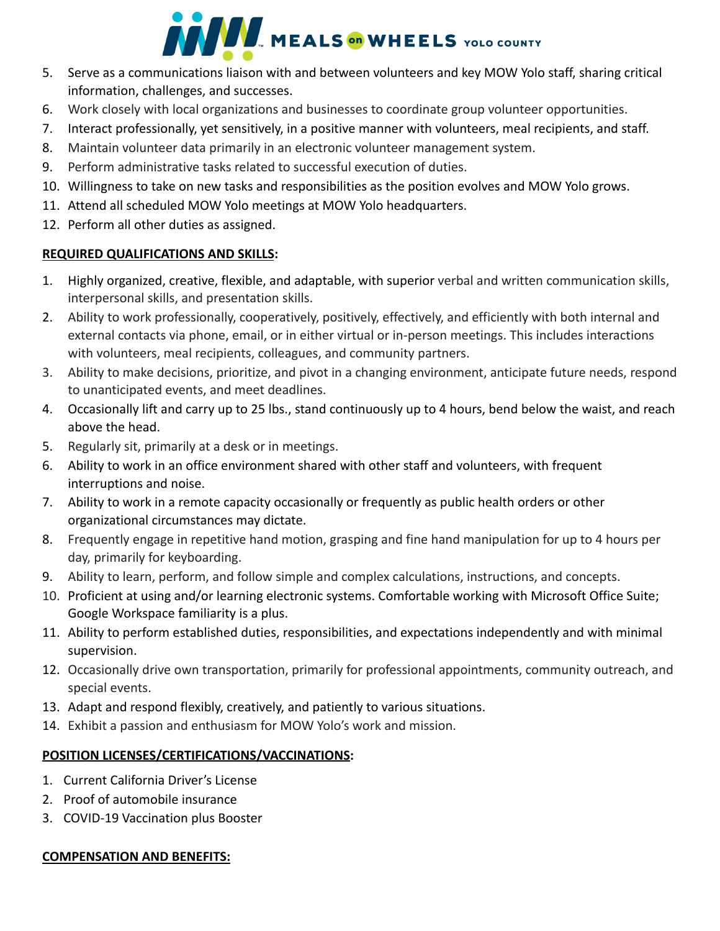# **AND MEALS ON WHEELS** YOLO COUNTY

- 5. Serve as a communications liaison with and between volunteers and key MOW Yolo staff, sharing critical information, challenges, and successes.
- 6. Work closely with local organizations and businesses to coordinate group volunteer opportunities.
- 7. Interact professionally, yet sensitively, in a positive manner with volunteers, meal recipients, and staff.
- 8. Maintain volunteer data primarily in an electronic volunteer management system.
- 9. Perform administrative tasks related to successful execution of duties.
- 10. Willingness to take on new tasks and responsibilities as the position evolves and MOW Yolo grows.
- 11. Attend all scheduled MOW Yolo meetings at MOW Yolo headquarters.
- 12. Perform all other duties as assigned.

## **REQUIRED QUALIFICATIONS AND SKILLS:**

- 1. Highly organized, creative, flexible, and adaptable, with superior verbal and written communication skills, interpersonal skills, and presentation skills.
- 2. Ability to work professionally, cooperatively, positively, effectively, and efficiently with both internal and external contacts via phone, email, or in either virtual or in-person meetings. This includes interactions with volunteers, meal recipients, colleagues, and community partners.
- 3. Ability to make decisions, prioritize, and pivot in a changing environment, anticipate future needs, respond to unanticipated events, and meet deadlines.
- 4. Occasionally lift and carry up to 25 lbs., stand continuously up to 4 hours, bend below the waist, and reach above the head.
- 5. Regularly sit, primarily at a desk or in meetings.
- 6. Ability to work in an office environment shared with other staff and volunteers, with frequent interruptions and noise.
- 7. Ability to work in a remote capacity occasionally or frequently as public health orders or other organizational circumstances may dictate.
- 8. Frequently engage in repetitive hand motion, grasping and fine hand manipulation for up to 4 hours per day, primarily for keyboarding.
- 9. Ability to learn, perform, and follow simple and complex calculations, instructions, and concepts.
- 10. Proficient at using and/or learning electronic systems. Comfortable working with Microsoft Office Suite; Google Workspace familiarity is a plus.
- 11. Ability to perform established duties, responsibilities, and expectations independently and with minimal supervision.
- 12. Occasionally drive own transportation, primarily for professional appointments, community outreach, and special events.
- 13. Adapt and respond flexibly, creatively, and patiently to various situations.
- 14. Exhibit a passion and enthusiasm for MOW Yolo's work and mission.

## **POSITION LICENSES/CERTIFICATIONS/VACCINATIONS:**

- 1. Current California Driver's License
- 2. Proof of automobile insurance
- 3. COVID-19 Vaccination plus Booster

## **COMPENSATION AND BENEFITS:**